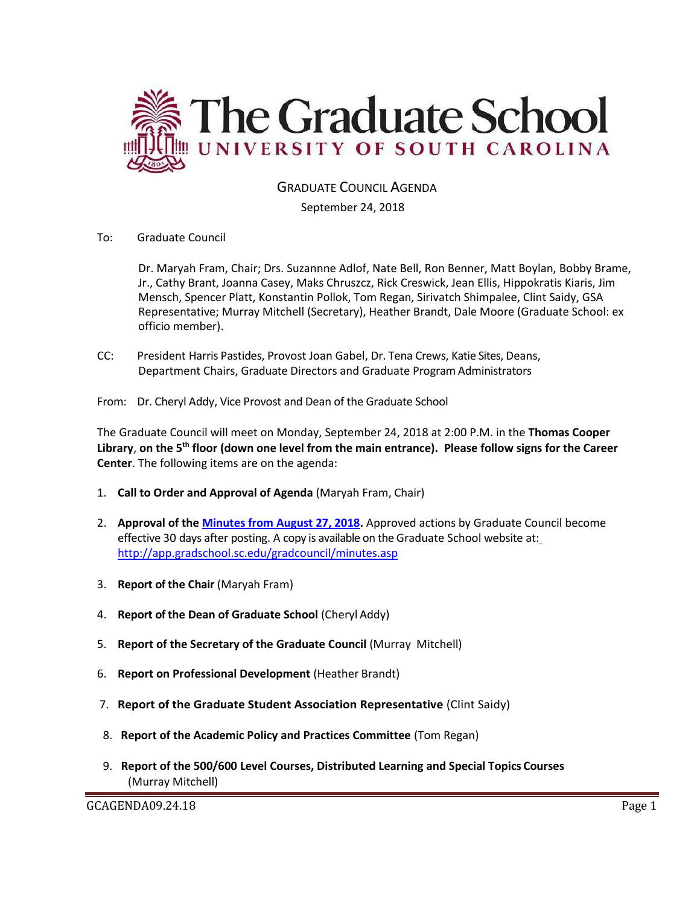

GRADUATE COUNCIL AGENDA

September 24, 2018

To: Graduate Council

Dr. Maryah Fram, Chair; Drs. Suzannne Adlof, Nate Bell, Ron Benner, Matt Boylan, Bobby Brame, Jr., Cathy Brant, Joanna Casey, Maks Chruszcz, Rick Creswick, Jean Ellis, Hippokratis Kiaris, Jim Mensch, Spencer Platt, Konstantin Pollok, Tom Regan, Sirivatch Shimpalee, Clint Saidy, GSA Representative; Murray Mitchell (Secretary), Heather Brandt, Dale Moore (Graduate School: ex officio member).

CC: President Harris Pastides, Provost Joan Gabel, Dr. Tena Crews, Katie Sites, Deans, Department Chairs, Graduate Directors and Graduate Program Administrators

From: Dr. Cheryl Addy, Vice Provost and Dean of the Graduate School

The Graduate Council will meet on Monday, September 24, 2018 at 2:00 P.M. in the **Thomas Cooper Library**, **on the 5th floor (down one level from the main entrance). Please follow signs for the Career Center**. The following items are on the agenda:

- 1. **Call to Order and Approval of Agenda** (Maryah Fram, Chair)
- 2. **Approval of the [Minutes from August](GC‌MINUTESAUG272018.pdf) 27, 2018.** Approved actions by Graduate Council become effective 30 days after posting. A copy is available on the Graduate School website at[:](http://app.gradschool.sc.edu/gradcouncil/minutes.asp) <http://app.gradschool.sc.edu/gradcouncil/minutes.asp>
- 3. **Report of the Chair** (Maryah Fram)
- 4. **Report of the Dean of Graduate School** (Cheryl Addy)
- 5. **Report of the Secretary of the Graduate Council** (Murray Mitchell)
- 6. **Report on Professional Development** (Heather Brandt)
- 7. **Report of the Graduate Student Association Representative** (Clint Saidy)
- 8. **Report of the Academic Policy and Practices Committee** (Tom Regan)
- 9. **Report of the 500/600 Level Courses, Distributed Learning and Special Topics Courses** (Murray Mitchell)

GCAGENDA09.24.18 Page 1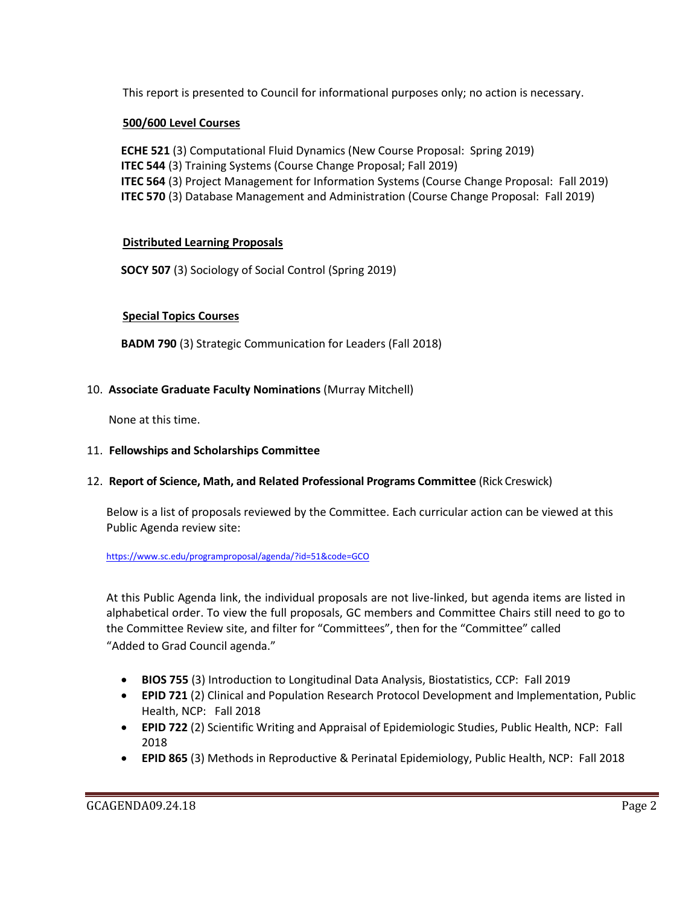This report is presented to Council for informational purposes only; no action is necessary.

## **500/600 Level Courses**

**ECHE 521** (3) Computational Fluid Dynamics (New Course Proposal: Spring 2019) **ITEC 544** (3) Training Systems (Course Change Proposal; Fall 2019) **ITEC 564** (3) Project Management for Information Systems (Course Change Proposal: Fall 2019) **ITEC 570** (3) Database Management and Administration (Course Change Proposal: Fall 2019)

## **Distributed Learning Proposals**

**SOCY 507** (3) Sociology of Social Control (Spring 2019)

## **Special Topics Courses**

**BADM 790** (3) Strategic Communication for Leaders (Fall 2018)

#### 10. **Associate Graduate Faculty Nominations** (Murray Mitchell)

None at this time.

## 11. **Fellowships and Scholarships Committee**

#### 12. **Report of Science, Math, and Related Professional Programs Committee** (Rick Creswick)

Below is a list of proposals reviewed by the Committee. Each curricular action can be viewed at this Public Agenda review site:

#### <https://www.sc.edu/programproposal/agenda/?id=51&code=GCO>

At this Public Agenda link, the individual proposals are not live-linked, but agenda items are listed in alphabetical order. To view the full proposals, GC members and Committee Chairs still need to go to the Committee Review site, and filter for "Committees", then for the "Committee" called "Added to Grad Council agenda."

- **BIOS 755** (3) Introduction to Longitudinal Data Analysis, Biostatistics, CCP: Fall 2019
- **EPID 721** (2) Clinical and Population Research Protocol Development and Implementation, Public Health, NCP: Fall 2018
- **EPID 722** (2) Scientific Writing and Appraisal of Epidemiologic Studies, Public Health, NCP: Fall 2018
- **EPID 865** (3) Methods in Reproductive & Perinatal Epidemiology, Public Health, NCP: Fall 2018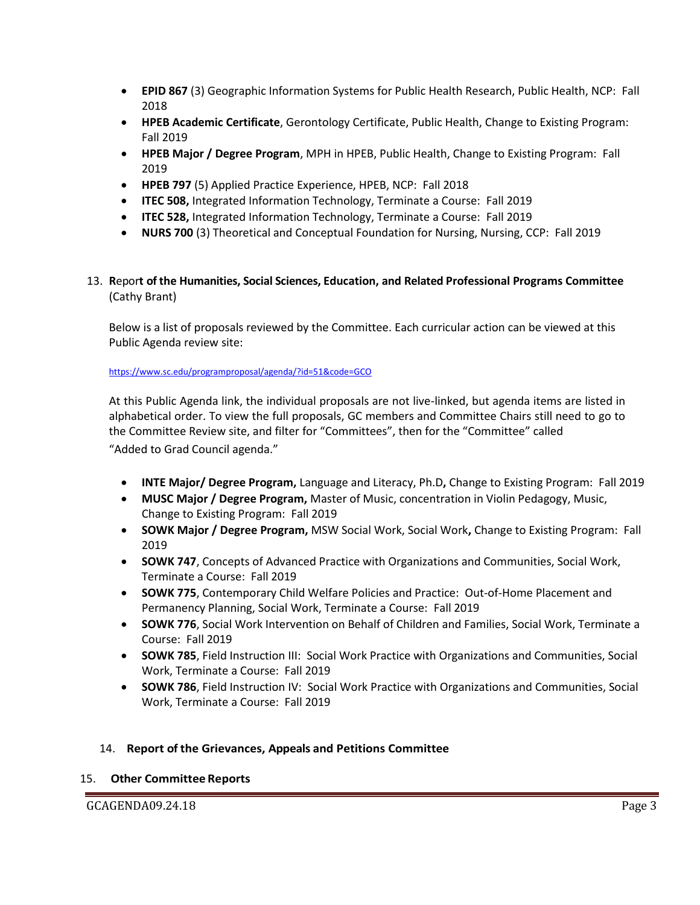- **EPID 867** (3) Geographic Information Systems for Public Health Research, Public Health, NCP: Fall 2018
- **HPEB Academic Certificate**, Gerontology Certificate, Public Health, Change to Existing Program: Fall 2019
- **HPEB Major / Degree Program**, MPH in HPEB, Public Health, Change to Existing Program: Fall 2019
- **HPEB 797** (5) Applied Practice Experience, HPEB, NCP: Fall 2018
- **ITEC 508,** Integrated Information Technology, Terminate a Course: Fall 2019
- **ITEC 528,** Integrated Information Technology, Terminate a Course: Fall 2019
- **NURS 700** (3) Theoretical and Conceptual Foundation for Nursing, Nursing, CCP: Fall 2019
- 13. **R**epor**t of the Humanities, Social Sciences, Education, and Related Professional Programs Committee**  (Cathy Brant)

Below is a list of proposals reviewed by the Committee. Each curricular action can be viewed at this Public Agenda review site:

<https://www.sc.edu/programproposal/agenda/?id=51&code=GCO>

At this Public Agenda link, the individual proposals are not live-linked, but agenda items are listed in alphabetical order. To view the full proposals, GC members and Committee Chairs still need to go to the Committee Review site, and filter for "Committees", then for the "Committee" called "Added to Grad Council agenda."

- **INTE Major/ Degree Program,** Language and Literacy, Ph.D**,** Change to Existing Program: Fall 2019
- **MUSC Major / Degree Program,** Master of Music, concentration in Violin Pedagogy, Music, Change to Existing Program: Fall 2019
- **SOWK Major / Degree Program,** MSW Social Work, Social Work**,** Change to Existing Program: Fall 2019
- **SOWK 747**, Concepts of Advanced Practice with Organizations and Communities, Social Work, Terminate a Course: Fall 2019
- **SOWK 775**, Contemporary Child Welfare Policies and Practice: Out-of-Home Placement and Permanency Planning, Social Work, Terminate a Course: Fall 2019
- **SOWK 776**, Social Work Intervention on Behalf of Children and Families, Social Work, Terminate a Course: Fall 2019
- **SOWK 785**, Field Instruction III: Social Work Practice with Organizations and Communities, Social Work, Terminate a Course: Fall 2019
- **SOWK 786**, Field Instruction IV: Social Work Practice with Organizations and Communities, Social Work, Terminate a Course: Fall 2019

# 14. **Report of the Grievances, Appeals and Petitions Committee**

#### 15. **Other Committee Reports**

GCAGENDA09.24.18 Page 3